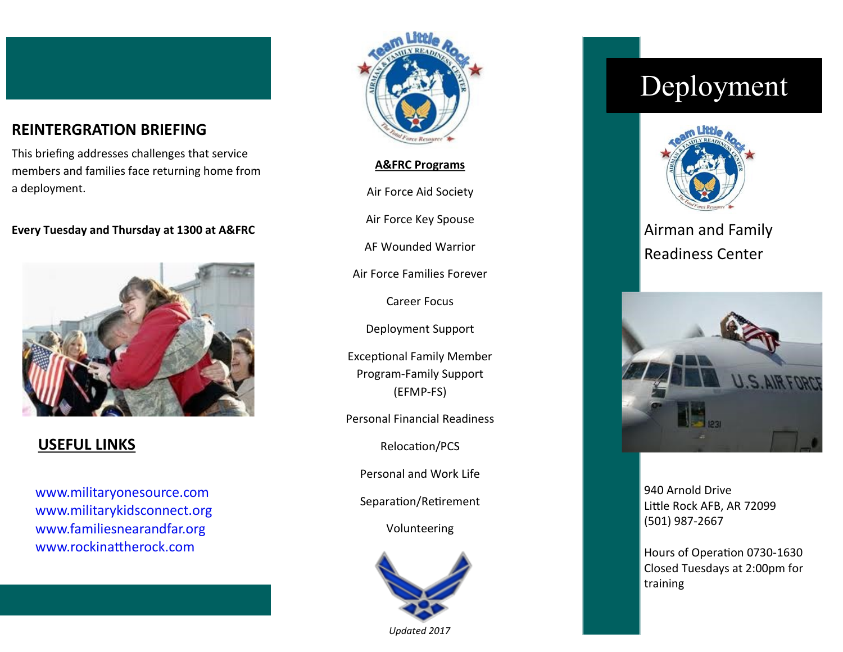#### **REINTERGRATION BRIEFING**

This briefing addresses challenges that service members and families face returning home from a deployment.

#### **Every Tuesday and Thursday at 1300 at A&FRC**



#### **USEFUL LINKS**

www.militaryonesource.com www.militarykidsconnect.org www.familiesnearandfar.org www.rockinattherock.com



**A&FRC Programs**

Air Force Aid Society

Air Force Key Spouse

AF Wounded Warrior

Air Force Families Forever

Career Focus

Deployment Support

Exceptional Family Member Program-Family Support (EFMP-FS)

Personal Financial Readiness

Relocation/PCS

Personal and Work Life

Separation/Retirement

Volunteering



*Updated 2017*

# Deployment



Airman and Family Readiness Center



940 Arnold Drive Little Rock AFB, AR 72099 (501) 987-2667

Hours of Operation 0730-1630 Closed Tuesdays at 2:00pm for training